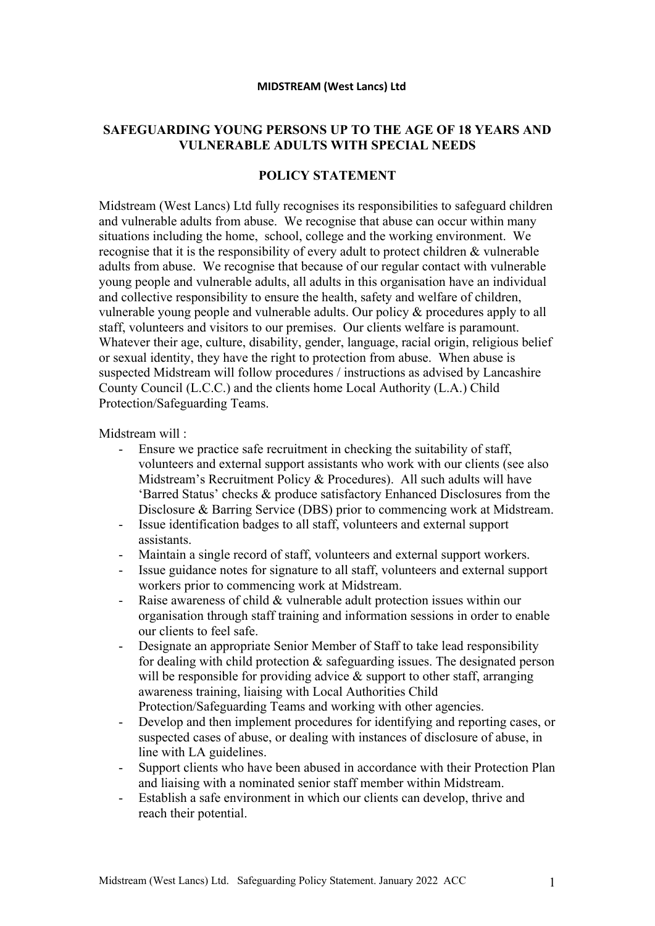## **MIDSTREAM (West Lancs) Ltd**

## **SAFEGUARDING YOUNG PERSONS UP TO THE AGE OF 18 YEARS AND VULNERABLE ADULTS WITH SPECIAL NEEDS**

## **POLICY STATEMENT**

Midstream (West Lancs) Ltd fully recognises its responsibilities to safeguard children and vulnerable adults from abuse. We recognise that abuse can occur within many situations including the home, school, college and the working environment. We recognise that it is the responsibility of every adult to protect children & vulnerable adults from abuse. We recognise that because of our regular contact with vulnerable young people and vulnerable adults, all adults in this organisation have an individual and collective responsibility to ensure the health, safety and welfare of children, vulnerable young people and vulnerable adults. Our policy & procedures apply to all staff, volunteers and visitors to our premises. Our clients welfare is paramount. Whatever their age, culture, disability, gender, language, racial origin, religious belief or sexual identity, they have the right to protection from abuse. When abuse is suspected Midstream will follow procedures / instructions as advised by Lancashire County Council (L.C.C.) and the clients home Local Authority (L.A.) Child Protection/Safeguarding Teams.

Midstream will :

- Ensure we practice safe recruitment in checking the suitability of staff, volunteers and external support assistants who work with our clients (see also Midstream's Recruitment Policy & Procedures). All such adults will have 'Barred Status' checks & produce satisfactory Enhanced Disclosures from the Disclosure & Barring Service (DBS) prior to commencing work at Midstream.
- Issue identification badges to all staff, volunteers and external support assistants.
- Maintain a single record of staff, volunteers and external support workers.
- Issue guidance notes for signature to all staff, volunteers and external support workers prior to commencing work at Midstream.
- Raise awareness of child & vulnerable adult protection issues within our organisation through staff training and information sessions in order to enable our clients to feel safe.
- Designate an appropriate Senior Member of Staff to take lead responsibility for dealing with child protection & safeguarding issues. The designated person will be responsible for providing advice & support to other staff, arranging awareness training, liaising with Local Authorities Child Protection/Safeguarding Teams and working with other agencies.
- Develop and then implement procedures for identifying and reporting cases, or suspected cases of abuse, or dealing with instances of disclosure of abuse, in line with LA guidelines.
- Support clients who have been abused in accordance with their Protection Plan and liaising with a nominated senior staff member within Midstream.
- Establish a safe environment in which our clients can develop, thrive and reach their potential.